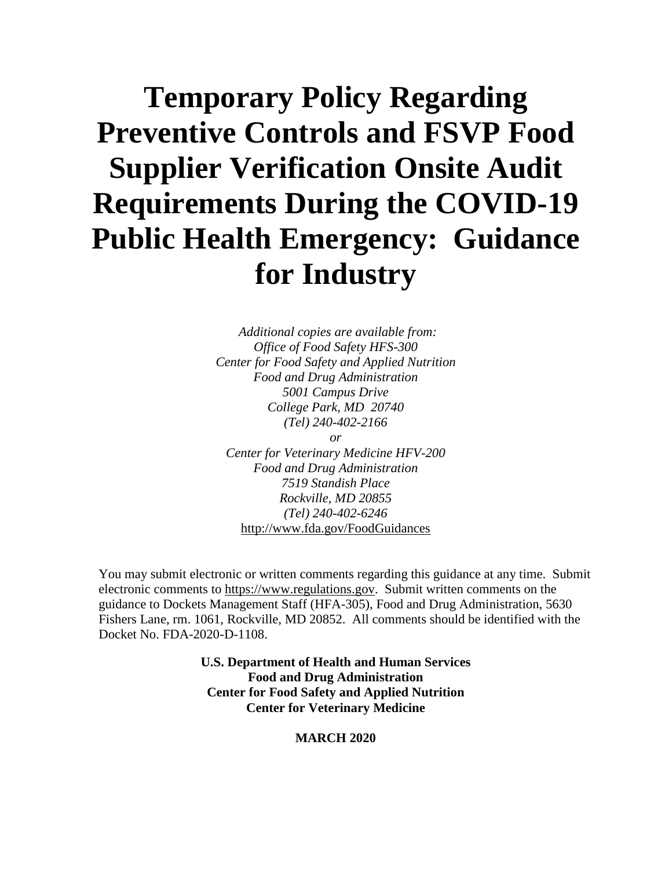## **Temporary Policy Regarding Preventive Controls and FSVP Food Supplier Verification Onsite Audit Requirements During the COVID-19 Public Health Emergency: Guidance for Industry**

*Additional copies are available from: Office of Food Safety HFS-300 Center for Food Safety and Applied Nutrition Food and Drug Administration 5001 Campus Drive College Park, MD 20740 (Tel) 240-402-2166 or*

*Center for Veterinary Medicine HFV-200 Food and Drug Administration 7519 Standish Place Rockville, MD 20855 (Tel) 240-402-6246* <http://www.fda.gov/FoodGuidances>

You may submit electronic or written comments regarding this guidance at any time. Submit electronic comments to [https://www.regulations.gov.](https://www.regulations.gov/) Submit written comments on the guidance to Dockets Management Staff (HFA-305), Food and Drug Administration, 5630 Fishers Lane, rm. 1061, Rockville, MD 20852. All comments should be identified with the Docket No. FDA-2020-D-1108.

> **U.S. Department of Health and Human Services Food and Drug Administration Center for Food Safety and Applied Nutrition Center for Veterinary Medicine**

#### **MARCH 2020**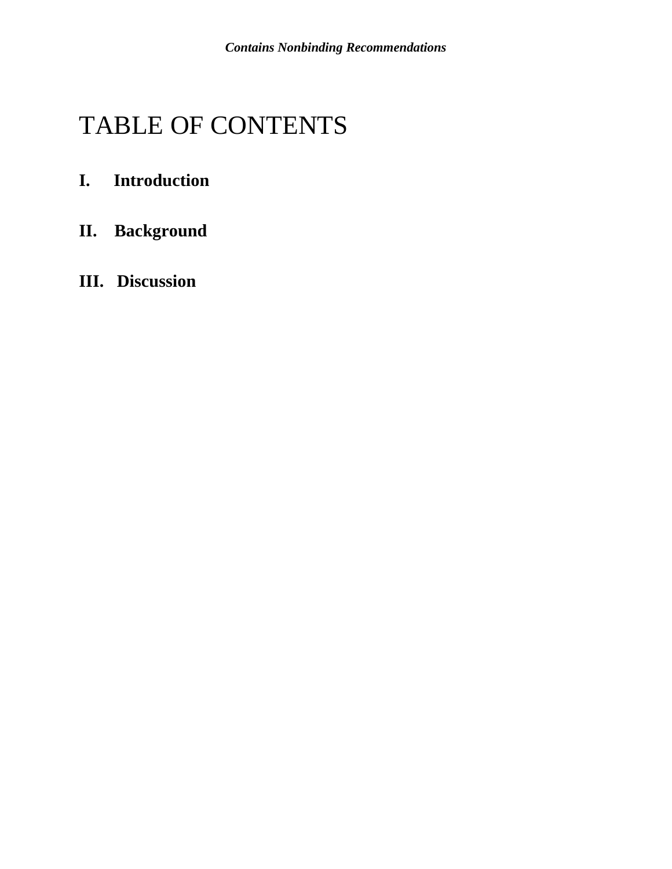## TABLE OF CONTENTS

## **I. Introduction**

- **II. Background**
- **III. Discussion**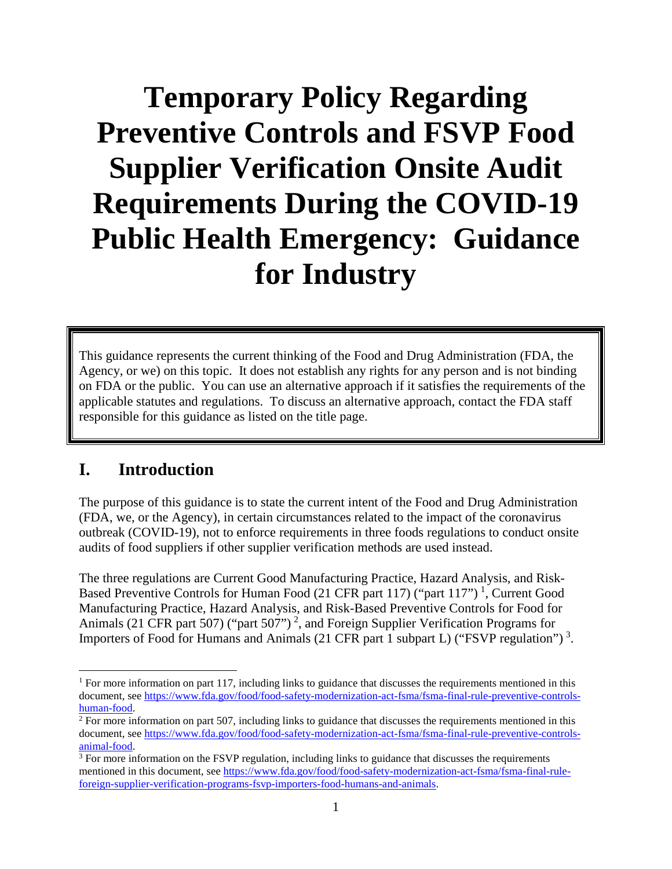# **Temporary Policy Regarding Preventive Controls and FSVP Food Supplier Verification Onsite Audit Requirements During the COVID-19 Public Health Emergency: Guidance for Industry**

This guidance represents the current thinking of the Food and Drug Administration (FDA, the Agency, or we) on this topic. It does not establish any rights for any person and is not binding on FDA or the public. You can use an alternative approach if it satisfies the requirements of the applicable statutes and regulations. To discuss an alternative approach, contact the FDA staff responsible for this guidance as listed on the title page.

### **I. Introduction**

The purpose of this guidance is to state the current intent of the Food and Drug Administration (FDA, we, or the Agency), in certain circumstances related to the impact of the coronavirus outbreak (COVID-19), not to enforce requirements in three foods regulations to conduct onsite audits of food suppliers if other supplier verification methods are used instead.

The three regulations are Current Good Manufacturing Practice, Hazard Analysis, and Risk-Based Preventive Controls for Human Food (2[1](#page-2-0) CFR part 117) ("part 117")<sup>1</sup>, Current Good Manufacturing Practice, Hazard Analysis, and Risk-Based Preventive Controls for Food for Animals ([2](#page-2-1)1 CFR part 507) ("part 507")<sup>2</sup>, and Foreign Supplier Verification Programs for Importers of Food for Humans and Animals (21 CFR part 1 subpart L) ("FSVP regulation")<sup>[3](#page-2-2)</sup>.

<span id="page-2-0"></span><sup>&</sup>lt;sup>1</sup> For more information on part 117, including links to guidance that discusses the requirements mentioned in this document, se[e https://www.fda.gov/food/food-safety-modernization-act-fsma/fsma-final-rule-preventive-controls](https://www.fda.gov/food/food-safety-modernization-act-fsma/fsma-final-rule-preventive-controls-human-food)[human-food.](https://www.fda.gov/food/food-safety-modernization-act-fsma/fsma-final-rule-preventive-controls-human-food)

<span id="page-2-1"></span> $2$  For more information on part 507, including links to guidance that discusses the requirements mentioned in this document, se[e https://www.fda.gov/food/food-safety-modernization-act-fsma/fsma-final-rule-preventive-controls](https://www.fda.gov/food/food-safety-modernization-act-fsma/fsma-final-rule-preventive-controls-animal-food)[animal-food.](https://www.fda.gov/food/food-safety-modernization-act-fsma/fsma-final-rule-preventive-controls-animal-food)

<span id="page-2-2"></span> $3$  For more information on the FSVP regulation, including links to guidance that discusses the requirements mentioned in this document, se[e https://www.fda.gov/food/food-safety-modernization-act-fsma/fsma-final-rule](https://www.fda.gov/food/food-safety-modernization-act-fsma/fsma-final-rule-foreign-supplier-verification-programs-fsvp-importers-food-humans-and-animals)[foreign-supplier-verification-programs-fsvp-importers-food-humans-and-animals.](https://www.fda.gov/food/food-safety-modernization-act-fsma/fsma-final-rule-foreign-supplier-verification-programs-fsvp-importers-food-humans-and-animals)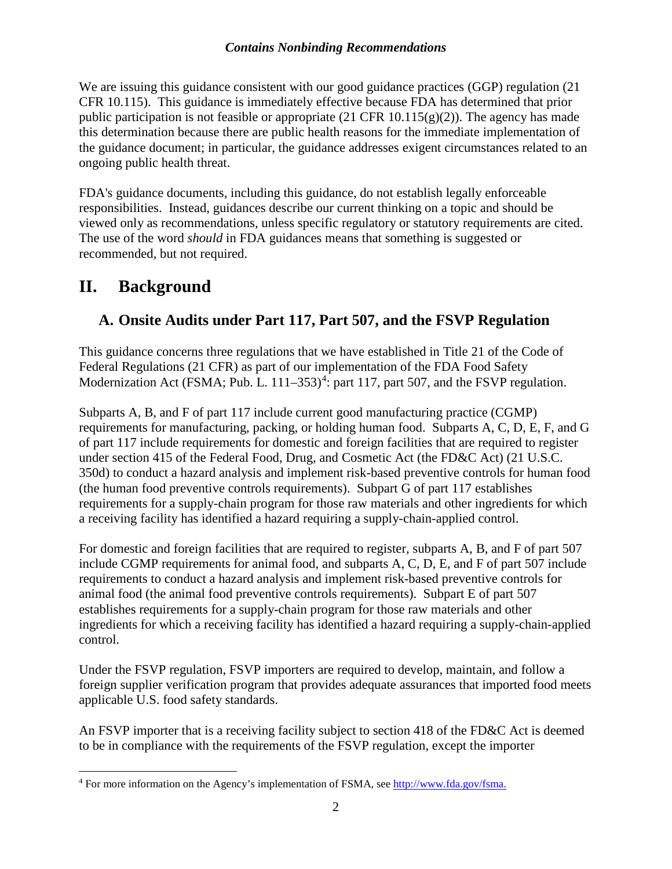#### *Contains Nonbinding Recommendations*

We are issuing this guidance consistent with our good guidance practices (GGP) regulation (21) CFR 10.115). This guidance is immediately effective because FDA has determined that prior public participation is not feasible or appropriate (21 CFR 10.115(g)(2)). The agency has made this determination because there are public health reasons for the immediate implementation of the guidance document; in particular, the guidance addresses exigent circumstances related to an ongoing public health threat.

FDA's guidance documents, including this guidance, do not establish legally enforceable responsibilities. Instead, guidances describe our current thinking on a topic and should be viewed only as recommendations, unless specific regulatory or statutory requirements are cited. The use of the word *should* in FDA guidances means that something is suggested or recommended, but not required.

## **II. Background**

### **A. Onsite Audits under Part 117, Part 507, and the FSVP Regulation**

This guidance concerns three regulations that we have established in Title 21 of the Code of Federal Regulations (21 CFR) as part of our implementation of the FDA Food Safety Modernization Act (FSMA; Pub. L.  $111-353$ )<sup>[4](#page-3-0)</sup>: part 117, part 507, and the FSVP regulation.

Subparts A, B, and F of part 117 include current good manufacturing practice (CGMP) requirements for manufacturing, packing, or holding human food. Subparts A, C, D, E, F, and G of part 117 include requirements for domestic and foreign facilities that are required to register under section 415 of the Federal Food, Drug, and Cosmetic Act (the FD&C Act) (21 U.S.C. 350d) to conduct a hazard analysis and implement risk-based preventive controls for human food (the human food preventive controls requirements). Subpart G of part 117 establishes requirements for a supply-chain program for those raw materials and other ingredients for which a receiving facility has identified a hazard requiring a supply-chain-applied control.

For domestic and foreign facilities that are required to register, subparts A, B, and F of part 507 include CGMP requirements for animal food, and subparts A, C, D, E, and F of part 507 include requirements to conduct a hazard analysis and implement risk-based preventive controls for animal food (the animal food preventive controls requirements). Subpart E of part 507 establishes requirements for a supply-chain program for those raw materials and other ingredients for which a receiving facility has identified a hazard requiring a supply-chain-applied control.

Under the FSVP regulation, FSVP importers are required to develop, maintain, and follow a foreign supplier verification program that provides adequate assurances that imported food meets applicable U.S. food safety standards.

An FSVP importer that is a receiving facility subject to section 418 of the FD&C Act is deemed to be in compliance with the requirements of the FSVP regulation, except the importer

<span id="page-3-0"></span><sup>&</sup>lt;sup>4</sup> For more information on the Agency's implementation of FSMA, se[e http://www.fda.gov/fsma.](http://www.fda.gov/fsma)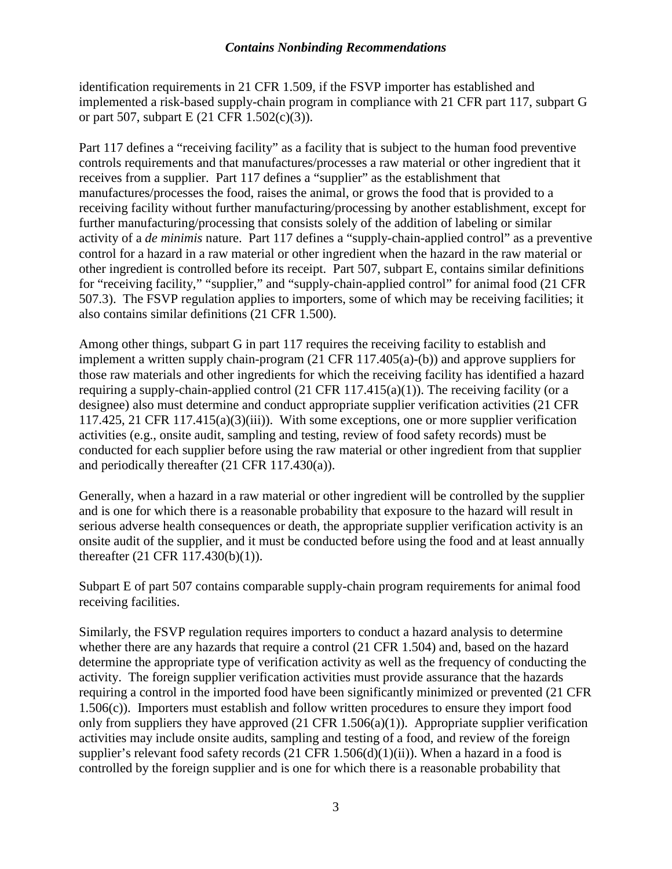#### *Contains Nonbinding Recommendations*

identification requirements in 21 CFR 1.509, if the FSVP importer has established and implemented a risk-based supply-chain program in compliance with 21 CFR part 117, subpart G or part 507, subpart E (21 CFR 1.502(c)(3)).

Part 117 defines a "receiving facility" as a facility that is subject to the human food preventive controls requirements and that manufactures/processes a raw material or other ingredient that it receives from a supplier. Part 117 defines a "supplier" as the establishment that manufactures/processes the food, raises the animal, or grows the food that is provided to a receiving facility without further manufacturing/processing by another establishment, except for further manufacturing/processing that consists solely of the addition of labeling or similar activity of a *de minimis* nature. Part 117 defines a "supply-chain-applied control" as a preventive control for a hazard in a raw material or other ingredient when the hazard in the raw material or other ingredient is controlled before its receipt. Part 507, subpart E, contains similar definitions for "receiving facility," "supplier," and "supply-chain-applied control" for animal food (21 CFR 507.3). The FSVP regulation applies to importers, some of which may be receiving facilities; it also contains similar definitions (21 CFR 1.500).

Among other things, subpart G in part 117 requires the receiving facility to establish and implement a written supply chain-program (21 CFR 117.405(a)-(b)) and approve suppliers for those raw materials and other ingredients for which the receiving facility has identified a hazard requiring a supply-chain-applied control (21 CFR  $117.415(a)(1)$ ). The receiving facility (or a designee) also must determine and conduct appropriate supplier verification activities (21 CFR 117.425, 21 CFR 117.415(a)(3)(iii)). With some exceptions, one or more supplier verification activities (e.g., onsite audit, sampling and testing, review of food safety records) must be conducted for each supplier before using the raw material or other ingredient from that supplier and periodically thereafter (21 CFR 117.430(a)).

Generally, when a hazard in a raw material or other ingredient will be controlled by the supplier and is one for which there is a reasonable probability that exposure to the hazard will result in serious adverse health consequences or death, the appropriate supplier verification activity is an onsite audit of the supplier, and it must be conducted before using the food and at least annually thereafter (21 CFR 117.430(b)(1)).

Subpart E of part 507 contains comparable supply-chain program requirements for animal food receiving facilities.

Similarly, the FSVP regulation requires importers to conduct a hazard analysis to determine whether there are any hazards that require a control (21 CFR 1.504) and, based on the hazard determine the appropriate type of verification activity as well as the frequency of conducting the activity. The foreign supplier verification activities must provide assurance that the hazards requiring a control in the imported food have been significantly minimized or prevented (21 CFR 1.506(c)). Importers must establish and follow written procedures to ensure they import food only from suppliers they have approved  $(21 \text{ CFR } 1.506(a)(1))$ . Appropriate supplier verification activities may include onsite audits, sampling and testing of a food, and review of the foreign supplier's relevant food safety records  $(21 \text{ CFR } 1.506(d)(1)(ii))$ . When a hazard in a food is controlled by the foreign supplier and is one for which there is a reasonable probability that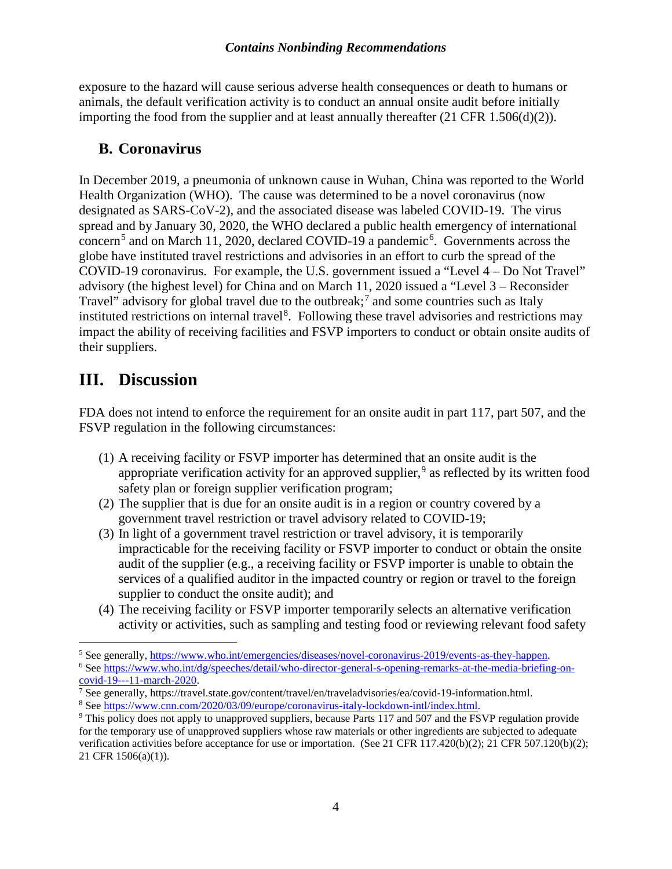exposure to the hazard will cause serious adverse health consequences or death to humans or animals, the default verification activity is to conduct an annual onsite audit before initially importing the food from the supplier and at least annually thereafter (21 CFR 1.506(d)(2)).

#### **B. Coronavirus**

In December 2019, a pneumonia of unknown cause in Wuhan, China was reported to the World Health Organization (WHO). The cause was determined to be a novel coronavirus (now designated as SARS-CoV-2), and the associated disease was labeled COVID-19. The virus spread and by January 30, 2020, the WHO declared a public health emergency of international concern<sup>[5](#page-5-0)</sup> and on March 11, 2020, declared COVID-19 a pandemic<sup>[6](#page-5-1)</sup>. Governments across the globe have instituted travel restrictions and advisories in an effort to curb the spread of the COVID-19 coronavirus. For example, the U.S. government issued a "Level 4 – Do Not Travel" advisory (the highest level) for China and on March 11, 2020 issued a "Level 3 – Reconsider Travel" advisory for global travel due to the outbreak; $^7$  $^7$  and some countries such as Italy instituted restrictions on internal travel<sup>[8](#page-5-3)</sup>. Following these travel advisories and restrictions may impact the ability of receiving facilities and FSVP importers to conduct or obtain onsite audits of their suppliers.

## **III. Discussion**

FDA does not intend to enforce the requirement for an onsite audit in part 117, part 507, and the FSVP regulation in the following circumstances:

- (1) A receiving facility or FSVP importer has determined that an onsite audit is the appropriate verification activity for an approved supplier,<sup>[9](#page-5-4)</sup> as reflected by its written food safety plan or foreign supplier verification program;
- (2) The supplier that is due for an onsite audit is in a region or country covered by a government travel restriction or travel advisory related to COVID-19;
- (3) In light of a government travel restriction or travel advisory, it is temporarily impracticable for the receiving facility or FSVP importer to conduct or obtain the onsite audit of the supplier (e.g., a receiving facility or FSVP importer is unable to obtain the services of a qualified auditor in the impacted country or region or travel to the foreign supplier to conduct the onsite audit); and
- (4) The receiving facility or FSVP importer temporarily selects an alternative verification activity or activities, such as sampling and testing food or reviewing relevant food safety

<span id="page-5-1"></span><span id="page-5-0"></span><sup>&</sup>lt;sup>5</sup> See generally, [https://www.who.int/emergencies/diseases/novel-coronavirus-2019/events-as-they-happen.](https://www.who.int/emergencies/diseases/novel-coronavirus-2019/events-as-they-happen) <sup>6</sup> Se[e https://www.who.int/dg/speeches/detail/who-director-general-s-opening-remarks-at-the-media-briefing-on](https://www.who.int/dg/speeches/detail/who-director-general-s-opening-remarks-at-the-media-briefing-on-covid-19---11-march-2020)[covid-19---11-march-2020.](https://www.who.int/dg/speeches/detail/who-director-general-s-opening-remarks-at-the-media-briefing-on-covid-19---11-march-2020)

<span id="page-5-2"></span><sup>7</sup> See generally, https://travel.state.gov/content/travel/en/traveladvisories/ea/covid-19-information.html.

<span id="page-5-3"></span><sup>8</sup> Se[e https://www.cnn.com/2020/03/09/europe/coronavirus-italy-lockdown-intl/index.html.](https://www.cnn.com/2020/03/09/europe/coronavirus-italy-lockdown-intl/index.html)

<span id="page-5-4"></span><sup>&</sup>lt;sup>9</sup> This policy does not apply to unapproved suppliers, because Parts 117 and 507 and the FSVP regulation provide for the temporary use of unapproved suppliers whose raw materials or other ingredients are subjected to adequate verification activities before acceptance for use or importation. (See 21 CFR 117.420(b)(2); 21 CFR 507.120(b)(2); 21 CFR 1506(a)(1)).